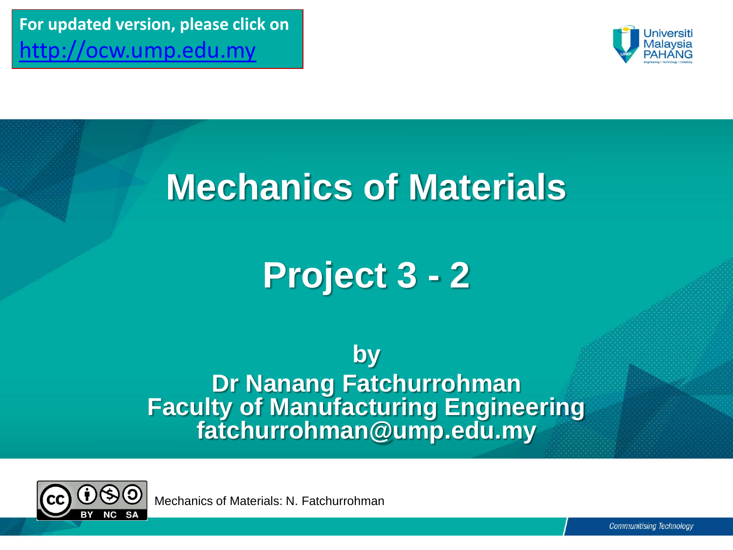**For updated version, please click on**  [http://ocw.ump.edu.my](http://ocw.ump.edu.my/) 



## **Mechanics of Materials**

## **Project 3 - 2**

**by Dr Nanang Fatchurrohman Faculty of Manufacturing Engineering fatchurrohman@ump.edu.my**



Mechanics of Materials: N. Fatchurrohman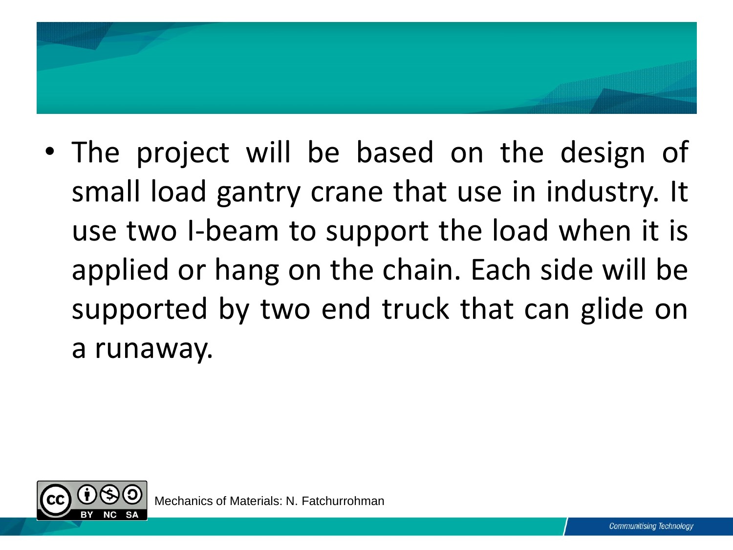

• The project will be based on the design of small load gantry crane that use in industry. It use two I-beam to support the load when it is applied or hang on the chain. Each side will be supported by two end truck that can glide on a runaway.

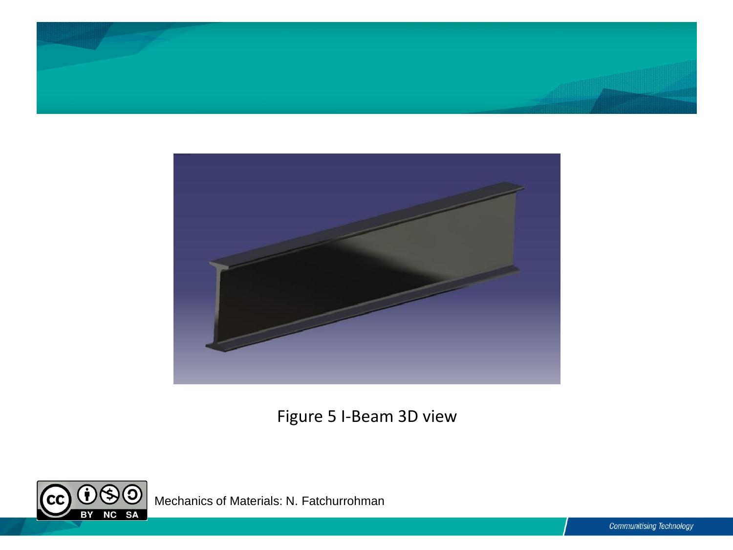



Figure 5 I-Beam 3D view



Mechanics of Materials: N. Fatchurrohman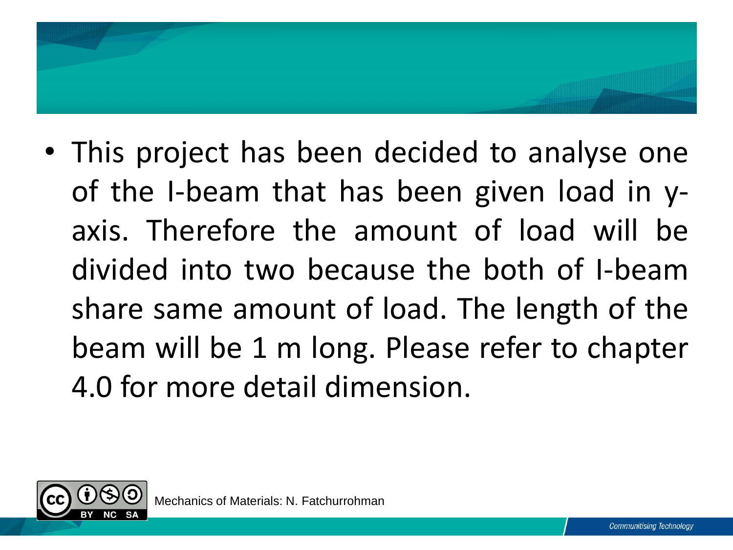

• This project has been decided to analyse one of the I-beam that has been given load in yaxis. Therefore the amount of load will be divided into two because the both of I-beam share same amount of load. The length of the beam will be 1 m long. Please refer to chapter 4.0 for more detail dimension.